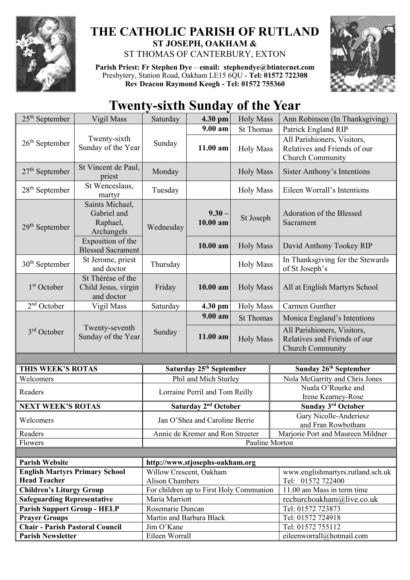

## **THE CATHOLIC PARISH OF RUTLAND ST JOSEPH, OAKHAM &**  ST THOMAS OF CANTERBURY, EXTON

**Parish Priest: Fr Stephen Dye** – **[email: stephendye@btinternet.com](mailto:email:%20%20stephendye@btinternet.com)** Presbytery, Station Road, Oakham LE15 6QU - **Tel: 01572 722308 Rev Deacon Raymond Keogh - Tel: 01572 755360**



## **Twenty-sixth Sunday of the Year**

| $25th$ September                                                   | Vigil Mass                                               | Saturday                                          | 4.30 pm              | <b>Holy Mass</b> | Ann Robinson (In Thanksgiving)                                                         |
|--------------------------------------------------------------------|----------------------------------------------------------|---------------------------------------------------|----------------------|------------------|----------------------------------------------------------------------------------------|
|                                                                    |                                                          |                                                   | 9.00 am              | <b>St Thomas</b> | Patrick England RIP                                                                    |
| $26th$ September                                                   | Twenty-sixth<br>Sunday of the Year                       | Sunday                                            | 11.00 am             | <b>Holy Mass</b> | All Parishioners, Visitors,<br>Relatives and Friends of our<br>Church Community        |
| $27th$ September                                                   | St Vincent de Paul,<br>priest                            | Monday                                            |                      | <b>Holy Mass</b> | Sister Anthony's Intentions                                                            |
| $28th$ September                                                   | St Wenceslaus,<br>martyr                                 | Tuesday                                           |                      | <b>Holy Mass</b> | Eileen Worrall's Intentions                                                            |
| $29th$ September                                                   | Saints Michael,<br>Gabriel and<br>Raphael,<br>Archangels | Wednesday                                         | $9.30 -$<br>10.00 am | St Joseph        | Adoration of the Blessed<br>Sacrament                                                  |
|                                                                    | Exposition of the<br><b>Blessed Sacrament</b>            |                                                   | 10.00 am             | <b>Holy Mass</b> | David Anthony Tookey RIP                                                               |
| $30th$ September                                                   | St Jerome, priest<br>and doctor                          | Thursday                                          |                      | <b>Holy Mass</b> | In Thanksgiving for the Stewards<br>of St Joseph's                                     |
| $1st$ October                                                      | St Thérèse of the<br>Child Jesus, virgin<br>and doctor   | Friday                                            | 10.00 am             | <b>Holy Mass</b> | All at English Martyrs School                                                          |
| $2nd$ October                                                      | Vigil Mass                                               | Saturday                                          | 4.30 pm              | <b>Holy Mass</b> | Carmen Gunther                                                                         |
| 3 <sup>rd</sup> October                                            | Twenty-seventh<br>Sunday of the Year                     | Sunday                                            | 9.00 am              | <b>St Thomas</b> | Monica England's Intentions                                                            |
|                                                                    |                                                          |                                                   | 11.00 am             | <b>Holy Mass</b> | All Parishioners, Visitors,<br>Relatives and Friends of our<br><b>Church Community</b> |
|                                                                    |                                                          |                                                   |                      |                  |                                                                                        |
| THIS WEEK'S ROTAS                                                  |                                                          | Saturday 25 <sup>th</sup> September               |                      |                  | Sunday 26 <sup>th</sup> September                                                      |
| Welcomers                                                          |                                                          | Phil and Mich Sturley                             |                      |                  | Nola McGarrity and Chris Jones                                                         |
| Readers                                                            |                                                          | Lorraine Perril and Tom Reilly                    |                      |                  | Nuala O'Rourke and<br>Irene Kearney-Rose                                               |
| <b>NEXT WEEK'S ROTAS</b>                                           |                                                          | Saturday 2 <sup>nd</sup> October                  |                      |                  | Sunday 3rd October                                                                     |
| Welcomers                                                          |                                                          | Jan O'Shea and Caroline Berrie                    |                      |                  | Gary Nicolle-Anderiesz<br>and Fran Rowbotham                                           |
| Readers                                                            |                                                          | Annie de Kremer and Ron Streeter                  |                      |                  | Marjorie Port and Maureen Mildner                                                      |
| Flowers                                                            |                                                          | Pauline Morton                                    |                      |                  |                                                                                        |
|                                                                    |                                                          |                                                   |                      |                  |                                                                                        |
| <b>Parish Website</b>                                              |                                                          | http://www.stjosephs-oakham.org                   |                      |                  |                                                                                        |
| <b>English Martyrs Primary School</b><br><b>Head Teacher</b>       |                                                          | Willow Crescent, Oakham<br><b>Alison Chambers</b> |                      |                  | www.englishmartyrs.rutland.sch.uk<br>Tel: 01572 722400                                 |
| <b>Children's Liturgy Group</b>                                    |                                                          | For children up to First Holy Communion           |                      |                  | 11.00 am Mass in term time                                                             |
|                                                                    |                                                          |                                                   |                      |                  |                                                                                        |
| <b>Safeguarding Representative</b>                                 |                                                          | Maria Marriott                                    |                      |                  | rcchurchoakham@live.co.uk                                                              |
| <b>Parish Support Group - HELP</b>                                 |                                                          | Rosemarie Duncan                                  |                      |                  | Tel: 01572 723873                                                                      |
| <b>Prayer Groups</b>                                               |                                                          | Martin and Barbara Black                          |                      |                  | Tel: 01572 724918                                                                      |
| <b>Chair - Parish Pastoral Council</b><br><b>Parish Newsletter</b> |                                                          | Jim O'Kane<br>Eileen Worrall                      |                      |                  | Tel: 01572 755112<br>eileenworrall@hotmail.com                                         |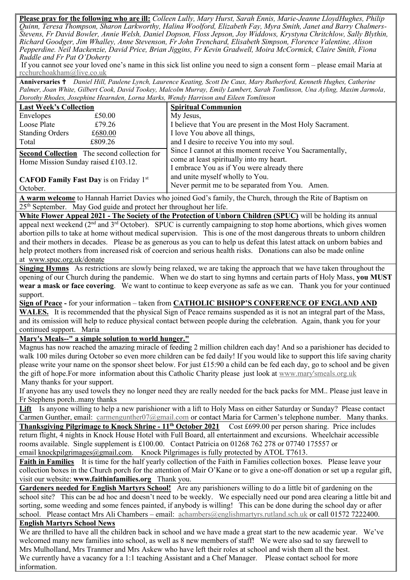**Please pray for the following who are ill:** *Colleen Lully, Mary Hurst, Sarah Ennis, Marie-Jeanne LloydHughes, Philip Quinn, Teresa Thompson, Sharon Larkworthy, Halina Woolford, Elizabeth Fay, Myra Smith, Janet and Barry Chalmers-Stevens, Fr David Bowler, Annie Welsh, Daniel Dopson, Floss Jepson, Joy Widdows, Krystyna Chritchlow, Sally Blythin, Richard Goodger, Jim Whalley, Anne Stevenson, Fr John Trenchard, Elisabeth Simpson, Florence Valentine, Alison Pepperdine. Neil Mackenzie, David Price, Brian Jiggins, Fr Kevin Gradwell, Moira McCormick, Claire Smith, Fiona Ruddle and Fr Pat O'Doherty*

If you cannot see your loved one's name in this sick list online you need to sign a consent form – please email Maria at [rcchurchoakham@live.co.uk](mailto:rcchurchoakham@live.co.uk)

**Anniversaries**  *Daniel Hill, Paulene Lynch, Laurence Keating, Scott De Caux, Mary Rutherford, Kenneth Hughes, Catherine Palmer, Joan White, Gilbert Cook, David Tookey, Malcolm Murray, Emily Lambert, Sarah Tomlinson, Una Ayling, Maxim Jarmola, Dorothy Rhodes, Josephine Hearnden, Lorna Marks, Wendy Harrison and Eileen Tomlinson*

| <b>Last Week's Collection</b>                                                             | <b>Spiritual Communion</b>                                                                                                                         |  |  |  |
|-------------------------------------------------------------------------------------------|----------------------------------------------------------------------------------------------------------------------------------------------------|--|--|--|
| Envelopes<br>£50.00                                                                       | My Jesus,                                                                                                                                          |  |  |  |
| Loose Plate<br>£79.26                                                                     | I believe that You are present in the Most Holy Sacrament.                                                                                         |  |  |  |
| <b>Standing Orders</b><br>£680.00                                                         | I love You above all things,                                                                                                                       |  |  |  |
| £809.26<br>Total                                                                          | and I desire to receive You into my soul.                                                                                                          |  |  |  |
| <b>Second Collection</b> The second collection for<br>Home Mission Sunday raised £103.12. | Since I cannot at this moment receive You Sacramentally,<br>come at least spiritually into my heart.<br>I embrace You as if You were already there |  |  |  |
| <b>CAFOD Family Fast Day</b> is on Friday 1st<br>October.                                 | and unite myself wholly to You.<br>Never permit me to be separated from You. Amen.                                                                 |  |  |  |

**A warm welcome** to Hannah Harriet Davies who joined God's family, the Church, through the Rite of Baptism on 25th September. May God guide and protect her throughout her life.

**White Flower Appeal 2021 - The Society of the Protection of Unborn Children (SPUC)** will be holding its annual appeal next weekend (2<sup>nd</sup> and 3<sup>rd</sup> October). SPUC is currently campaigning to stop home abortions, which gives women abortion pills to take at home without medical supervision. This is one of the most dangerous threats to unborn children and their mothers in decades. Please be as generous as you can to help us defeat this latest attack on unborn babies and help protect mothers from increased risk of coercion and serious health risks. Donations can also be made online at [www.spuc.org.uk/donate](http://www.spuc.org.uk/donate)

**Singing Hymns** As restrictions are slowly being relaxed, we are taking the approach that we have taken throughout the opening of our Church during the pandemic. When we do start to sing hymns and certain parts of Holy Mass, **you MUST wear a mask or face covering**. We want to continue to keep everyone as safe as we can. Thank you for your continued support.

**Sign of Peace -** for your information – taken from **CATHOLIC BISHOP'S CONFERENCE OF ENGLAND AND WALES.** It is recommended that the physical Sign of Peace remains suspended as it is not an integral part of the Mass, and its omission will help to reduce physical contact between people during the celebration. Again, thank you for your continued support. Maria

**Mary's Meals--" a simple solution to world hunger."**

Magnus has now reached the amazing miracle of feeding 2 million children each day! And so a parishioner has decided to walk 100 miles during October so even more children can be fed daily! If you would like to support this life saving charity please write your name on the sponsor sheet below. For just £15:90 a child can be fed each day, go to school and be given the gift of hope.For more information about this Catholic Charity please just look at [www.mary'smeals.org.uk](http://www.mary) Many thanks for your support.

If anyone has any used towels they no longer need they are really needed for the back packs for MM.. Please just leave in Fr Stephens porch..many thanks

**Lift** Is anyone willing to help a new parishioner with a lift to Holy Mass on either Saturday or Sunday? Please contact Carmen Gunther, email: [carmengunther07@gmail.com](mailto:carmengunther07@gmail.com) or contact Maria for Carmen's telephone number. Many thanks.

**Thanksgiving Pilgrimage to Knock Shrine - 11th October 2021** Cost £699.00 per person sharing. Price includes return flight, 4 nights in Knock House Hotel with Full Board, all entertainment and excursions. Wheelchair accessible rooms available. Single supplement is £100.00. Contact Patricia on 01268 762 278 or 07740 175557 or email [knockpilgrimages@gmail.com.](mailto:patricia@gotrouvaille.com) Knock Pilgrimages is fully protected by ATOL T7613.

**Faith in Families** It is time for the half yearly collection of the Faith in Families collection boxes. Please leave your collection boxes in the Church porch for the attention of Mair O'Kane or to give a one-off donation or set up a regular gift, visit our website: **[www.faithinfamilies.org](http://www.faithinfamilies.org/)** Thank you.

**Gardeners needed for English Martyrs School!** Are any parishioners willing to do a little bit of gardening on the school site? This can be ad hoc and doesn't need to be weekly. We especially need our pond area clearing a little bit and sorting, some weeding and some fences painted, if anybody is willing! This can be done during the school day or after school. Please contact Mrs Ali Chambers – email: [achambers@englishmartyrs.rutland.sch.uk](mailto:achambers@englishmartyrs.rutland.sch.uk) or call 01572 7222400.

## **English Martyrs School News**

We are thrilled to have all the children back in school and we have made a great start to the new academic year. We've welcomed many new families into school, as well as 8 new members of staff! We were also sad to say farewell to Mrs Mulholland, Mrs Tranmer and Mrs Askew who have left their roles at school and wish them all the best. We currently have a vacancy for a 1:1 teaching Assistant and a Chef Manager. Please contact school for more information.